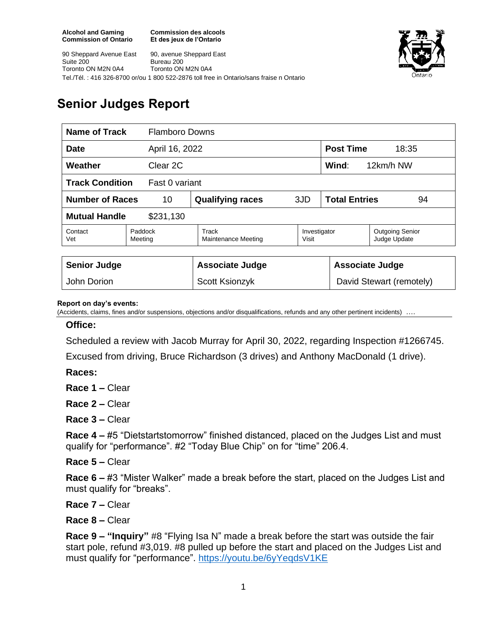**Commission des alcools Et des jeux de l'Ontario**





# **Senior Judges Report**

| <b>Name of Track</b>                     |  | <b>Flamboro Downs</b>        |       |                            |                                        |  |
|------------------------------------------|--|------------------------------|-------|----------------------------|----------------------------------------|--|
| April 16, 2022<br><b>Date</b>            |  |                              |       | <b>Post Time</b><br>18:35  |                                        |  |
| Weather<br>Clear 2C                      |  |                              |       | Wind:                      | 12km/h NW                              |  |
| <b>Track Condition</b><br>Fast 0 variant |  |                              |       |                            |                                        |  |
| <b>Number of Races</b><br>10             |  | <b>Qualifying races</b>      | 3JD   | <b>Total Entries</b><br>94 |                                        |  |
| <b>Mutual Handle</b><br>\$231,130        |  |                              |       |                            |                                        |  |
| Contact<br>Paddock<br>Vet<br>Meeting     |  | Track<br>Maintenance Meeting | Visit | Investigator               | <b>Outgoing Senior</b><br>Judge Update |  |
|                                          |  |                              |       |                            |                                        |  |
| <b>Senior Judge</b>                      |  | <b>Associate Judge</b>       |       |                            | <b>Associate Judge</b>                 |  |
| John Dorion                              |  | <b>Scott Ksionzyk</b>        |       |                            | David Stewart (remotely)               |  |

#### **Report on day's events:**

(Accidents, claims, fines and/or suspensions, objections and/or disqualifications, refunds and any other pertinent incidents)

#### **Office:**

Scheduled a review with Jacob Murray for April 30, 2022, regarding Inspection #1266745.

Excused from driving, Bruce Richardson (3 drives) and Anthony MacDonald (1 drive).

**Races:**

**Race 1 –** Clear

**Race 2 –** Clear

**Race 3 –** Clear

**Race 4 –** #5 "Dietstartstomorrow" finished distanced, placed on the Judges List and must qualify for "performance". #2 "Today Blue Chip" on for "time" 206.4.

### **Race 5 –** Clear

**Race 6 –** #3 "Mister Walker" made a break before the start, placed on the Judges List and must qualify for "breaks".

**Race 7 –** Clear

**Race 8 –** Clear

**Race 9 – "Inquiry"** #8 "Flying Isa N" made a break before the start was outside the fair start pole, refund #3,019. #8 pulled up before the start and placed on the Judges List and must qualify for "performance". <https://youtu.be/6yYeqdsV1KE>